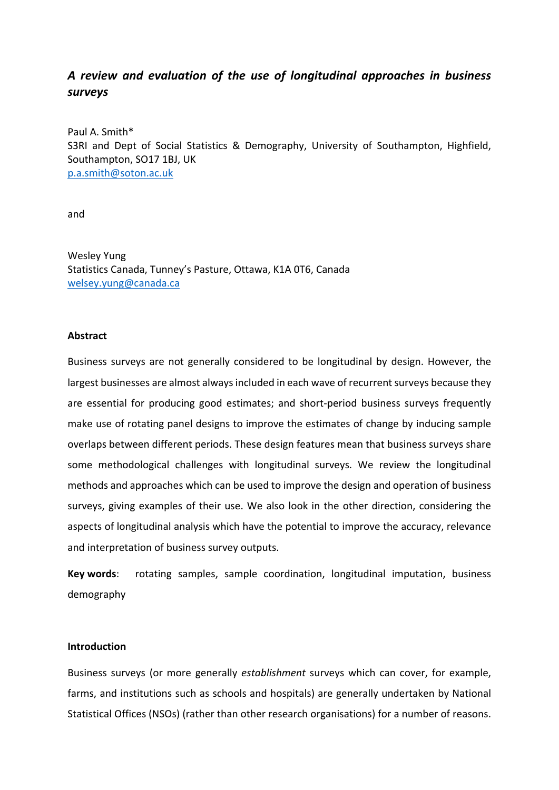# *A review and evaluation of the use of longitudinal approaches in business surveys*

Paul A. Smith\* S3RI and Dept of Social Statistics & Demography, University of Southampton, Highfield, Southampton, SO17 1BJ, UK p.a.smith@soton.ac.uk

and

Wesley Yung Statistics Canada, Tunney's Pasture, Ottawa, K1A 0T6, Canada welsey.yung@canada.ca

## **Abstract**

Business surveys are not generally considered to be longitudinal by design. However, the largest businesses are almost always included in each wave of recurrent surveys because they are essential for producing good estimates; and short-period business surveys frequently make use of rotating panel designs to improve the estimates of change by inducing sample overlaps between different periods. These design features mean that business surveys share some methodological challenges with longitudinal surveys. We review the longitudinal methods and approaches which can be used to improve the design and operation of business surveys, giving examples of their use. We also look in the other direction, considering the aspects of longitudinal analysis which have the potential to improve the accuracy, relevance and interpretation of business survey outputs.

**Key words**: rotating samples, sample coordination, longitudinal imputation, business demography

# **Introduction**

Business surveys (or more generally *establishment* surveys which can cover, for example, farms, and institutions such as schools and hospitals) are generally undertaken by National Statistical Offices (NSOs) (rather than other research organisations) for a number of reasons.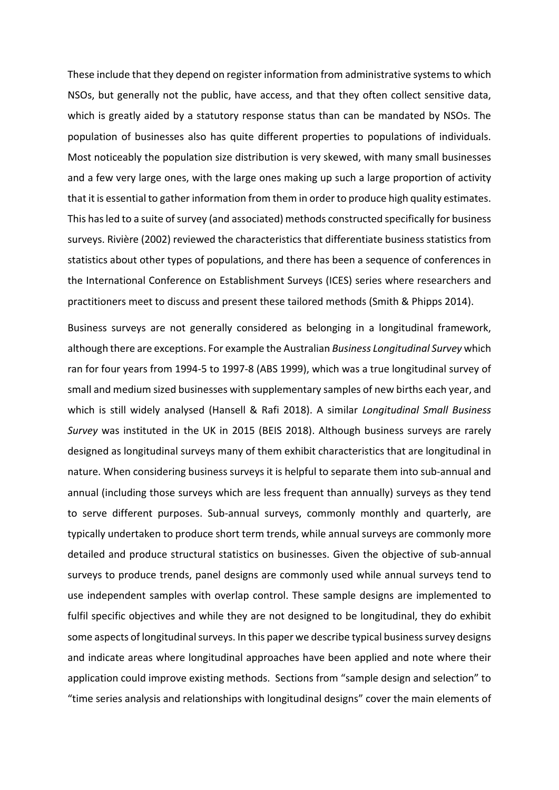These include that they depend on register information from administrative systems to which NSOs, but generally not the public, have access, and that they often collect sensitive data, which is greatly aided by a statutory response status than can be mandated by NSOs. The population of businesses also has quite different properties to populations of individuals. Most noticeably the population size distribution is very skewed, with many small businesses and a few very large ones, with the large ones making up such a large proportion of activity that it is essential to gather information from them in order to produce high quality estimates. This has led to a suite of survey (and associated) methods constructed specifically for business surveys. Rivière (2002) reviewed the characteristics that differentiate business statistics from statistics about other types of populations, and there has been a sequence of conferences in the International Conference on Establishment Surveys (ICES) series where researchers and practitioners meet to discuss and present these tailored methods (Smith & Phipps 2014).

Business surveys are not generally considered as belonging in a longitudinal framework, although there are exceptions. For example the Australian *Business Longitudinal Survey* which ran for four years from 1994‐5 to 1997‐8 (ABS 1999), which was a true longitudinal survey of small and medium sized businesses with supplementary samples of new births each year, and which is still widely analysed (Hansell & Rafi 2018). A similar *Longitudinal Small Business Survey* was instituted in the UK in 2015 (BEIS 2018). Although business surveys are rarely designed as longitudinal surveys many of them exhibit characteristics that are longitudinal in nature. When considering business surveys it is helpful to separate them into sub-annual and annual (including those surveys which are less frequent than annually) surveys as they tend to serve different purposes. Sub‐annual surveys, commonly monthly and quarterly, are typically undertaken to produce short term trends, while annual surveys are commonly more detailed and produce structural statistics on businesses. Given the objective of sub‐annual surveys to produce trends, panel designs are commonly used while annual surveys tend to use independent samples with overlap control. These sample designs are implemented to fulfil specific objectives and while they are not designed to be longitudinal, they do exhibit some aspects of longitudinal surveys. In this paper we describe typical business survey designs and indicate areas where longitudinal approaches have been applied and note where their application could improve existing methods. Sections from "sample design and selection" to "time series analysis and relationships with longitudinal designs" cover the main elements of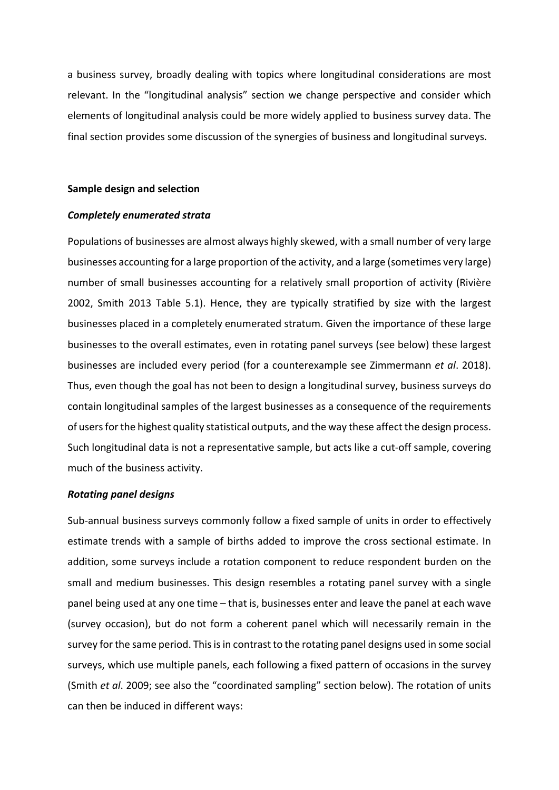a business survey, broadly dealing with topics where longitudinal considerations are most relevant. In the "longitudinal analysis" section we change perspective and consider which elements of longitudinal analysis could be more widely applied to business survey data. The final section provides some discussion of the synergies of business and longitudinal surveys.

## **Sample design and selection**

## *Completely enumerated strata*

Populations of businesses are almost always highly skewed, with a small number of very large businesses accounting for a large proportion of the activity, and a large (sometimes very large) number of small businesses accounting for a relatively small proportion of activity (Rivière 2002, Smith 2013 Table 5.1). Hence, they are typically stratified by size with the largest businesses placed in a completely enumerated stratum. Given the importance of these large businesses to the overall estimates, even in rotating panel surveys (see below) these largest businesses are included every period (for a counterexample see Zimmermann *et al*. 2018). Thus, even though the goal has not been to design a longitudinal survey, business surveys do contain longitudinal samples of the largest businesses as a consequence of the requirements of users for the highest quality statistical outputs, and the way these affect the design process. Such longitudinal data is not a representative sample, but acts like a cut-off sample, covering much of the business activity.

#### *Rotating panel designs*

Sub-annual business surveys commonly follow a fixed sample of units in order to effectively estimate trends with a sample of births added to improve the cross sectional estimate. In addition, some surveys include a rotation component to reduce respondent burden on the small and medium businesses. This design resembles a rotating panel survey with a single panel being used at any one time – that is, businesses enter and leave the panel at each wave (survey occasion), but do not form a coherent panel which will necessarily remain in the survey for the same period. This is in contrast to the rotating panel designs used in some social surveys, which use multiple panels, each following a fixed pattern of occasions in the survey (Smith *et al*. 2009; see also the "coordinated sampling" section below). The rotation of units can then be induced in different ways: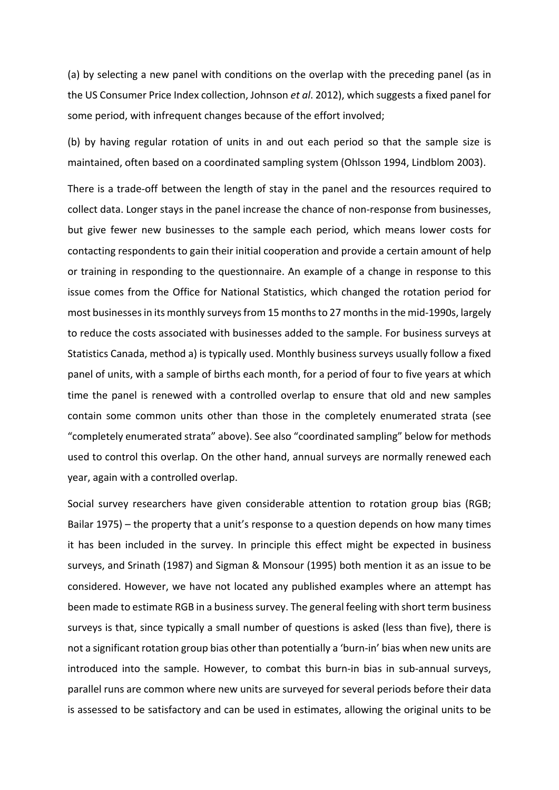(a) by selecting a new panel with conditions on the overlap with the preceding panel (as in the US Consumer Price Index collection, Johnson *et al*. 2012), which suggests a fixed panel for some period, with infrequent changes because of the effort involved;

(b) by having regular rotation of units in and out each period so that the sample size is maintained, often based on a coordinated sampling system (Ohlsson 1994, Lindblom 2003).

There is a trade‐off between the length of stay in the panel and the resources required to collect data. Longer stays in the panel increase the chance of non‐response from businesses, but give fewer new businesses to the sample each period, which means lower costs for contacting respondents to gain their initial cooperation and provide a certain amount of help or training in responding to the questionnaire. An example of a change in response to this issue comes from the Office for National Statistics, which changed the rotation period for most businesses in its monthly surveys from 15 months to 27 months in the mid‐1990s, largely to reduce the costs associated with businesses added to the sample. For business surveys at Statistics Canada, method a) is typically used. Monthly business surveys usually follow a fixed panel of units, with a sample of births each month, for a period of four to five years at which time the panel is renewed with a controlled overlap to ensure that old and new samples contain some common units other than those in the completely enumerated strata (see "completely enumerated strata" above). See also "coordinated sampling" below for methods used to control this overlap. On the other hand, annual surveys are normally renewed each year, again with a controlled overlap.

Social survey researchers have given considerable attention to rotation group bias (RGB; Bailar 1975) – the property that a unit's response to a question depends on how many times it has been included in the survey. In principle this effect might be expected in business surveys, and Srinath (1987) and Sigman & Monsour (1995) both mention it as an issue to be considered. However, we have not located any published examples where an attempt has been made to estimate RGB in a business survey. The general feeling with short term business surveys is that, since typically a small number of questions is asked (less than five), there is not a significant rotation group bias other than potentially a 'burn‐in' bias when new units are introduced into the sample. However, to combat this burn-in bias in sub-annual surveys, parallel runs are common where new units are surveyed for several periods before their data is assessed to be satisfactory and can be used in estimates, allowing the original units to be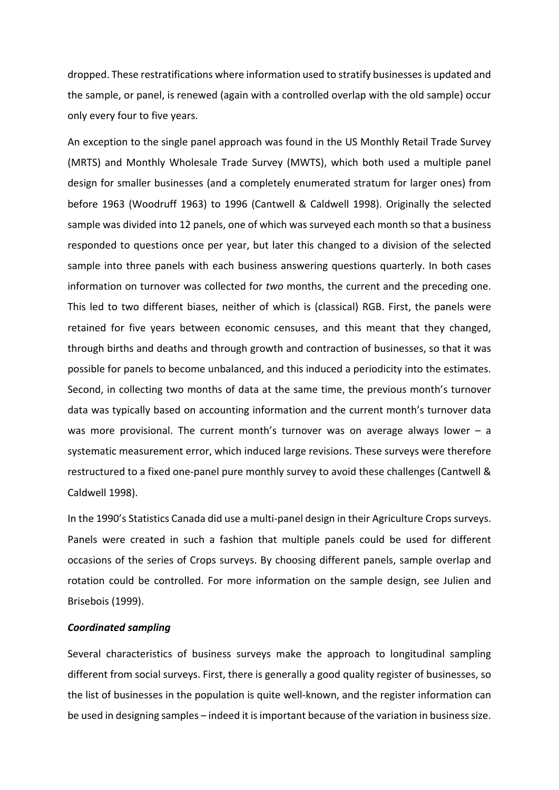dropped. These restratifications where information used to stratify businesses is updated and the sample, or panel, is renewed (again with a controlled overlap with the old sample) occur only every four to five years.

An exception to the single panel approach was found in the US Monthly Retail Trade Survey (MRTS) and Monthly Wholesale Trade Survey (MWTS), which both used a multiple panel design for smaller businesses (and a completely enumerated stratum for larger ones) from before 1963 (Woodruff 1963) to 1996 (Cantwell & Caldwell 1998). Originally the selected sample was divided into 12 panels, one of which was surveyed each month so that a business responded to questions once per year, but later this changed to a division of the selected sample into three panels with each business answering questions quarterly. In both cases information on turnover was collected for *two* months, the current and the preceding one. This led to two different biases, neither of which is (classical) RGB. First, the panels were retained for five years between economic censuses, and this meant that they changed, through births and deaths and through growth and contraction of businesses, so that it was possible for panels to become unbalanced, and this induced a periodicity into the estimates. Second, in collecting two months of data at the same time, the previous month's turnover data was typically based on accounting information and the current month's turnover data was more provisional. The current month's turnover was on average always lower  $-$  a systematic measurement error, which induced large revisions. These surveys were therefore restructured to a fixed one‐panel pure monthly survey to avoid these challenges (Cantwell & Caldwell 1998).

In the 1990's Statistics Canada did use a multi‐panel design in their Agriculture Crops surveys. Panels were created in such a fashion that multiple panels could be used for different occasions of the series of Crops surveys. By choosing different panels, sample overlap and rotation could be controlled. For more information on the sample design, see Julien and Brisebois (1999).

## *Coordinated sampling*

Several characteristics of business surveys make the approach to longitudinal sampling different from social surveys. First, there is generally a good quality register of businesses, so the list of businesses in the population is quite well‐known, and the register information can be used in designing samples – indeed it is important because of the variation in business size.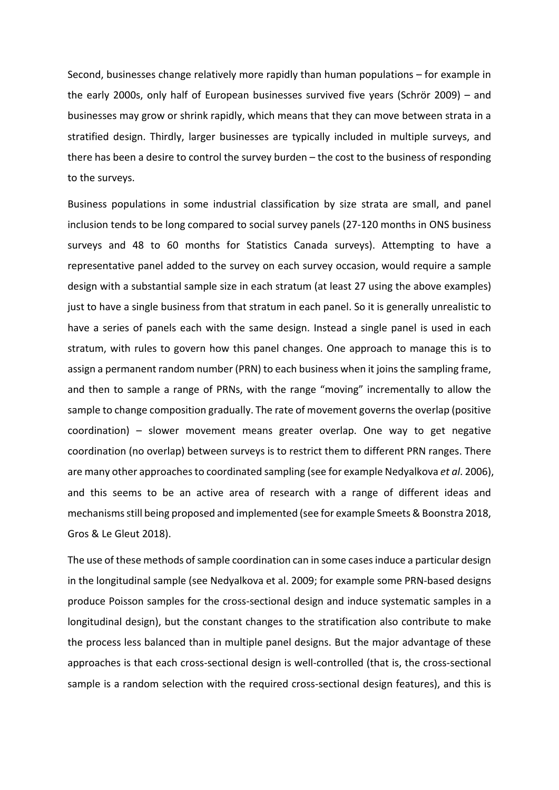Second, businesses change relatively more rapidly than human populations – for example in the early 2000s, only half of European businesses survived five years (Schrör 2009) – and businesses may grow or shrink rapidly, which means that they can move between strata in a stratified design. Thirdly, larger businesses are typically included in multiple surveys, and there has been a desire to control the survey burden – the cost to the business of responding to the surveys.

Business populations in some industrial classification by size strata are small, and panel inclusion tends to be long compared to social survey panels (27‐120 months in ONS business surveys and 48 to 60 months for Statistics Canada surveys). Attempting to have a representative panel added to the survey on each survey occasion, would require a sample design with a substantial sample size in each stratum (at least 27 using the above examples) just to have a single business from that stratum in each panel. So it is generally unrealistic to have a series of panels each with the same design. Instead a single panel is used in each stratum, with rules to govern how this panel changes. One approach to manage this is to assign a permanent random number (PRN) to each business when it joins the sampling frame, and then to sample a range of PRNs, with the range "moving" incrementally to allow the sample to change composition gradually. The rate of movement governs the overlap (positive  $coordination$  – slower movement means greater overlap. One way to get negative coordination (no overlap) between surveys is to restrict them to different PRN ranges. There are many other approaches to coordinated sampling (see for example Nedyalkova *et al*. 2006), and this seems to be an active area of research with a range of different ideas and mechanisms still being proposed and implemented (see for example Smeets & Boonstra 2018, Gros & Le Gleut 2018).

The use of these methods of sample coordination can in some cases induce a particular design in the longitudinal sample (see Nedyalkova et al. 2009; for example some PRN‐based designs produce Poisson samples for the cross‐sectional design and induce systematic samples in a longitudinal design), but the constant changes to the stratification also contribute to make the process less balanced than in multiple panel designs. But the major advantage of these approaches is that each cross‐sectional design is well‐controlled (that is, the cross‐sectional sample is a random selection with the required cross-sectional design features), and this is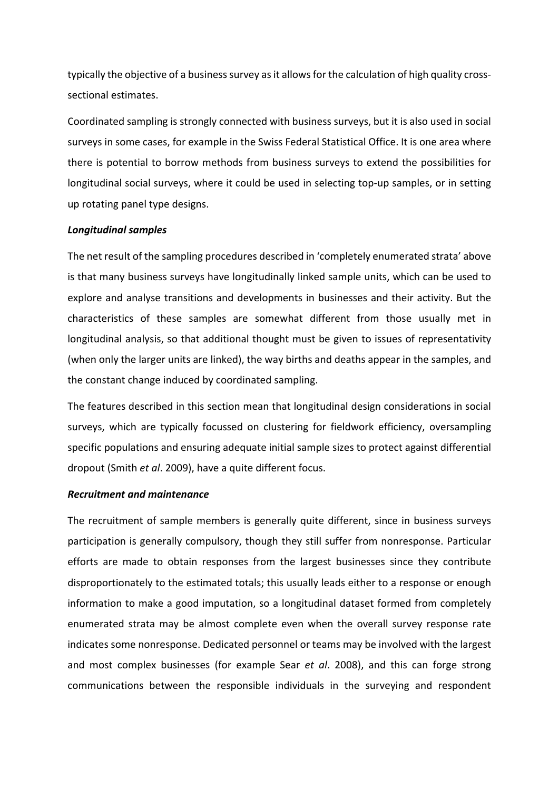typically the objective of a business survey as it allows for the calculation of high quality cross‐ sectional estimates.

Coordinated sampling is strongly connected with business surveys, but it is also used in social surveys in some cases, for example in the Swiss Federal Statistical Office. It is one area where there is potential to borrow methods from business surveys to extend the possibilities for longitudinal social surveys, where it could be used in selecting top‐up samples, or in setting up rotating panel type designs.

## *Longitudinal samples*

The net result of the sampling procedures described in 'completely enumerated strata' above is that many business surveys have longitudinally linked sample units, which can be used to explore and analyse transitions and developments in businesses and their activity. But the characteristics of these samples are somewhat different from those usually met in longitudinal analysis, so that additional thought must be given to issues of representativity (when only the larger units are linked), the way births and deaths appear in the samples, and the constant change induced by coordinated sampling.

The features described in this section mean that longitudinal design considerations in social surveys, which are typically focussed on clustering for fieldwork efficiency, oversampling specific populations and ensuring adequate initial sample sizes to protect against differential dropout (Smith *et al*. 2009), have a quite different focus.

## *Recruitment and maintenance*

The recruitment of sample members is generally quite different, since in business surveys participation is generally compulsory, though they still suffer from nonresponse. Particular efforts are made to obtain responses from the largest businesses since they contribute disproportionately to the estimated totals; this usually leads either to a response or enough information to make a good imputation, so a longitudinal dataset formed from completely enumerated strata may be almost complete even when the overall survey response rate indicates some nonresponse. Dedicated personnel or teams may be involved with the largest and most complex businesses (for example Sear *et al*. 2008), and this can forge strong communications between the responsible individuals in the surveying and respondent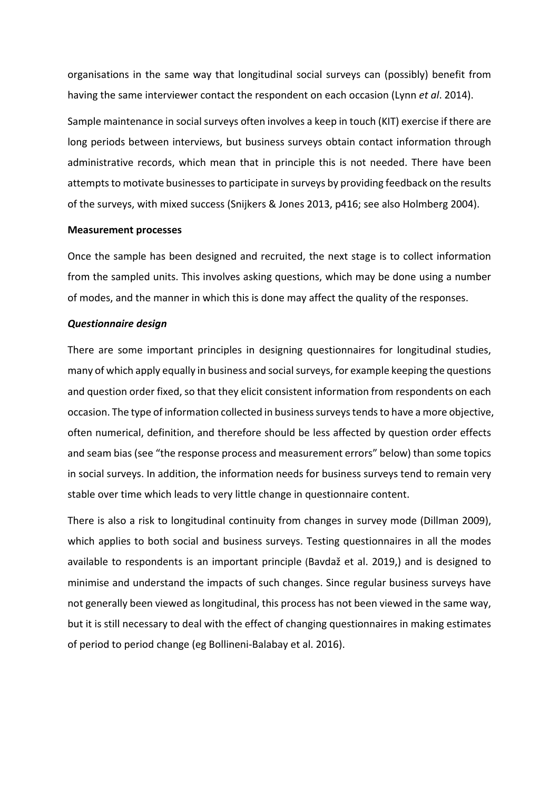organisations in the same way that longitudinal social surveys can (possibly) benefit from having the same interviewer contact the respondent on each occasion (Lynn *et al*. 2014).

Sample maintenance in social surveys often involves a keep in touch (KIT) exercise if there are long periods between interviews, but business surveys obtain contact information through administrative records, which mean that in principle this is not needed. There have been attempts to motivate businesses to participate in surveys by providing feedback on the results of the surveys, with mixed success (Snijkers & Jones 2013, p416; see also Holmberg 2004).

## **Measurement processes**

Once the sample has been designed and recruited, the next stage is to collect information from the sampled units. This involves asking questions, which may be done using a number of modes, and the manner in which this is done may affect the quality of the responses.

# *Questionnaire design*

There are some important principles in designing questionnaires for longitudinal studies, many of which apply equally in business and social surveys, for example keeping the questions and question order fixed, so that they elicit consistent information from respondents on each occasion. The type of information collected in business surveys tends to have a more objective, often numerical, definition, and therefore should be less affected by question order effects and seam bias (see "the response process and measurement errors" below) than some topics in social surveys. In addition, the information needs for business surveys tend to remain very stable over time which leads to very little change in questionnaire content.

There is also a risk to longitudinal continuity from changes in survey mode (Dillman 2009), which applies to both social and business surveys. Testing questionnaires in all the modes available to respondents is an important principle (Bavdaž et al. 2019,) and is designed to minimise and understand the impacts of such changes. Since regular business surveys have not generally been viewed as longitudinal, this process has not been viewed in the same way, but it is still necessary to deal with the effect of changing questionnaires in making estimates of period to period change (eg Bollineni‐Balabay et al. 2016).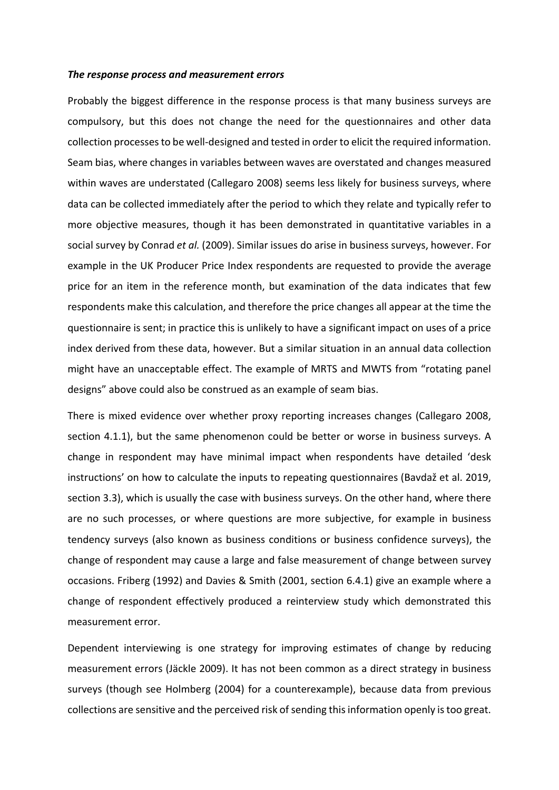#### *The response process and measurement errors*

Probably the biggest difference in the response process is that many business surveys are compulsory, but this does not change the need for the questionnaires and other data collection processes to be well‐designed and tested in order to elicit the required information. Seam bias, where changes in variables between waves are overstated and changes measured within waves are understated (Callegaro 2008) seems less likely for business surveys, where data can be collected immediately after the period to which they relate and typically refer to more objective measures, though it has been demonstrated in quantitative variables in a social survey by Conrad *et al.* (2009). Similar issues do arise in business surveys, however. For example in the UK Producer Price Index respondents are requested to provide the average price for an item in the reference month, but examination of the data indicates that few respondents make this calculation, and therefore the price changes all appear at the time the questionnaire is sent; in practice this is unlikely to have a significant impact on uses of a price index derived from these data, however. But a similar situation in an annual data collection might have an unacceptable effect. The example of MRTS and MWTS from "rotating panel designs" above could also be construed as an example of seam bias.

There is mixed evidence over whether proxy reporting increases changes (Callegaro 2008, section 4.1.1), but the same phenomenon could be better or worse in business surveys. A change in respondent may have minimal impact when respondents have detailed 'desk instructions' on how to calculate the inputs to repeating questionnaires (Bavdaž et al. 2019, section 3.3), which is usually the case with business surveys. On the other hand, where there are no such processes, or where questions are more subjective, for example in business tendency surveys (also known as business conditions or business confidence surveys), the change of respondent may cause a large and false measurement of change between survey occasions. Friberg (1992) and Davies & Smith (2001, section 6.4.1) give an example where a change of respondent effectively produced a reinterview study which demonstrated this measurement error.

Dependent interviewing is one strategy for improving estimates of change by reducing measurement errors (Jäckle 2009). It has not been common as a direct strategy in business surveys (though see Holmberg (2004) for a counterexample), because data from previous collections are sensitive and the perceived risk of sending this information openly is too great.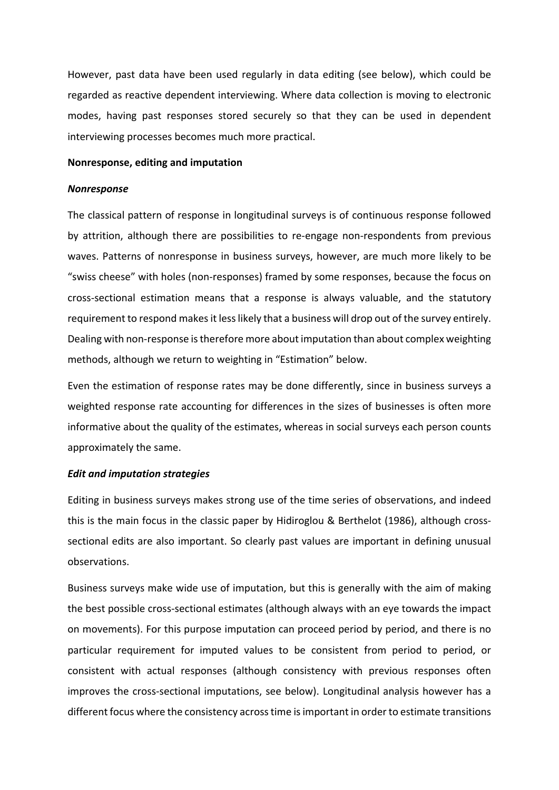However, past data have been used regularly in data editing (see below), which could be regarded as reactive dependent interviewing. Where data collection is moving to electronic modes, having past responses stored securely so that they can be used in dependent interviewing processes becomes much more practical.

#### **Nonresponse, editing and imputation**

#### *Nonresponse*

The classical pattern of response in longitudinal surveys is of continuous response followed by attrition, although there are possibilities to re-engage non-respondents from previous waves. Patterns of nonresponse in business surveys, however, are much more likely to be "swiss cheese" with holes (non‐responses) framed by some responses, because the focus on cross‐sectional estimation means that a response is always valuable, and the statutory requirement to respond makes it less likely that a business will drop out of the survey entirely. Dealing with non-response is therefore more about imputation than about complex weighting methods, although we return to weighting in "Estimation" below.

Even the estimation of response rates may be done differently, since in business surveys a weighted response rate accounting for differences in the sizes of businesses is often more informative about the quality of the estimates, whereas in social surveys each person counts approximately the same.

## *Edit and imputation strategies*

Editing in business surveys makes strong use of the time series of observations, and indeed this is the main focus in the classic paper by Hidiroglou & Berthelot (1986), although cross‐ sectional edits are also important. So clearly past values are important in defining unusual observations.

Business surveys make wide use of imputation, but this is generally with the aim of making the best possible cross‐sectional estimates (although always with an eye towards the impact on movements). For this purpose imputation can proceed period by period, and there is no particular requirement for imputed values to be consistent from period to period, or consistent with actual responses (although consistency with previous responses often improves the cross‐sectional imputations, see below). Longitudinal analysis however has a different focus where the consistency across time is important in order to estimate transitions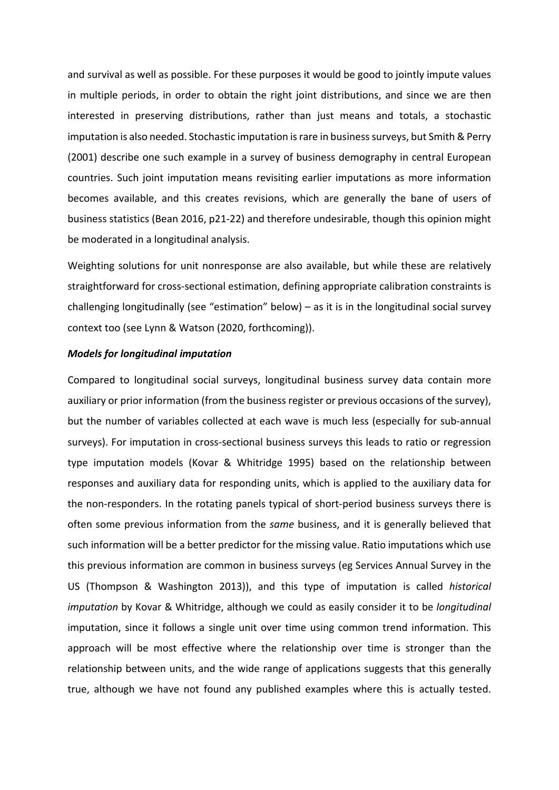and survival as well as possible. For these purposes it would be good to jointly impute values in multiple periods, in order to obtain the right joint distributions, and since we are then interested in preserving distributions, rather than just means and totals, a stochastic imputation is also needed. Stochastic imputation is rare in business surveys, but Smith & Perry (2001) describe one such example in a survey of business demography in central European countries. Such joint imputation means revisiting earlier imputations as more information becomes available, and this creates revisions, which are generally the bane of users of business statistics (Bean 2016, p21‐22) and therefore undesirable, though this opinion might be moderated in a longitudinal analysis.

Weighting solutions for unit nonresponse are also available, but while these are relatively straightforward for cross‐sectional estimation, defining appropriate calibration constraints is challenging longitudinally (see "estimation" below) – as it is in the longitudinal social survey context too (see Lynn & Watson (2020, forthcoming)).

## *Models for longitudinal imputation*

Compared to longitudinal social surveys, longitudinal business survey data contain more auxiliary or prior information (from the business register or previous occasions of the survey), but the number of variables collected at each wave is much less (especially for sub‐annual surveys). For imputation in cross‐sectional business surveys this leads to ratio or regression type imputation models (Kovar & Whitridge 1995) based on the relationship between responses and auxiliary data for responding units, which is applied to the auxiliary data for the non‐responders. In the rotating panels typical of short‐period business surveys there is often some previous information from the *same* business, and it is generally believed that such information will be a better predictor for the missing value. Ratio imputations which use this previous information are common in business surveys (eg Services Annual Survey in the US (Thompson & Washington 2013)), and this type of imputation is called *historical imputation* by Kovar & Whitridge, although we could as easily consider it to be *longitudinal* imputation, since it follows a single unit over time using common trend information. This approach will be most effective where the relationship over time is stronger than the relationship between units, and the wide range of applications suggests that this generally true, although we have not found any published examples where this is actually tested.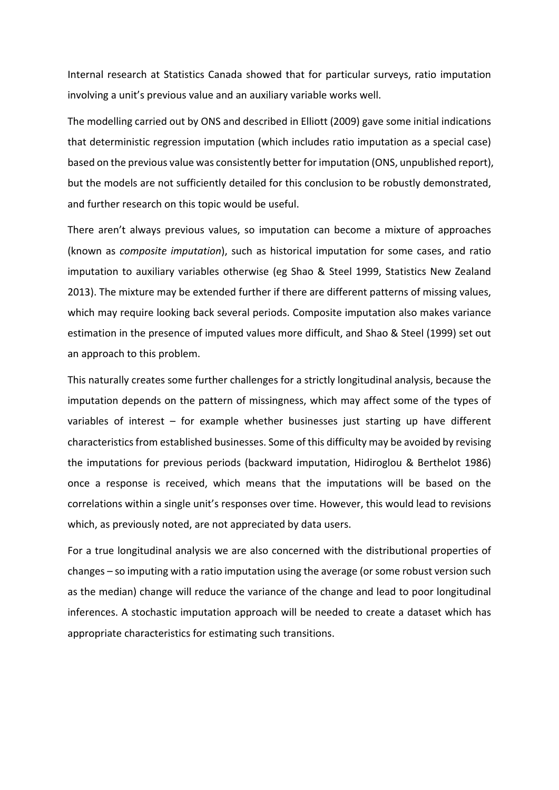Internal research at Statistics Canada showed that for particular surveys, ratio imputation involving a unit's previous value and an auxiliary variable works well.

The modelling carried out by ONS and described in Elliott (2009) gave some initial indications that deterministic regression imputation (which includes ratio imputation as a special case) based on the previous value was consistently better for imputation (ONS, unpublished report), but the models are not sufficiently detailed for this conclusion to be robustly demonstrated, and further research on this topic would be useful.

There aren't always previous values, so imputation can become a mixture of approaches (known as *composite imputation*), such as historical imputation for some cases, and ratio imputation to auxiliary variables otherwise (eg Shao & Steel 1999, Statistics New Zealand 2013). The mixture may be extended further if there are different patterns of missing values, which may require looking back several periods. Composite imputation also makes variance estimation in the presence of imputed values more difficult, and Shao & Steel (1999) set out an approach to this problem.

This naturally creates some further challenges for a strictly longitudinal analysis, because the imputation depends on the pattern of missingness, which may affect some of the types of variables of interest  $-$  for example whether businesses just starting up have different characteristics from established businesses. Some of this difficulty may be avoided by revising the imputations for previous periods (backward imputation, Hidiroglou & Berthelot 1986) once a response is received, which means that the imputations will be based on the correlations within a single unit's responses over time. However, this would lead to revisions which, as previously noted, are not appreciated by data users.

For a true longitudinal analysis we are also concerned with the distributional properties of changes – so imputing with a ratio imputation using the average (or some robust version such as the median) change will reduce the variance of the change and lead to poor longitudinal inferences. A stochastic imputation approach will be needed to create a dataset which has appropriate characteristics for estimating such transitions.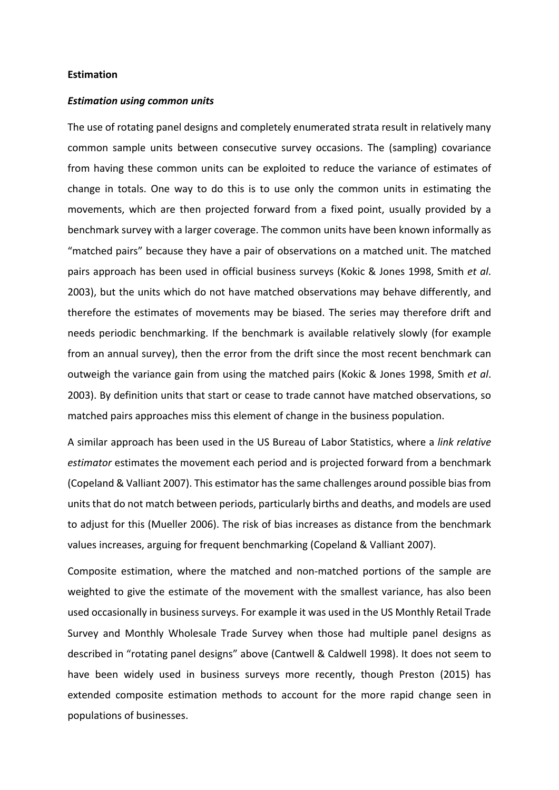#### **Estimation**

#### *Estimation using common units*

The use of rotating panel designs and completely enumerated strata result in relatively many common sample units between consecutive survey occasions. The (sampling) covariance from having these common units can be exploited to reduce the variance of estimates of change in totals. One way to do this is to use only the common units in estimating the movements, which are then projected forward from a fixed point, usually provided by a benchmark survey with a larger coverage. The common units have been known informally as "matched pairs" because they have a pair of observations on a matched unit. The matched pairs approach has been used in official business surveys (Kokic & Jones 1998, Smith *et al*. 2003), but the units which do not have matched observations may behave differently, and therefore the estimates of movements may be biased. The series may therefore drift and needs periodic benchmarking. If the benchmark is available relatively slowly (for example from an annual survey), then the error from the drift since the most recent benchmark can outweigh the variance gain from using the matched pairs (Kokic & Jones 1998, Smith *et al*. 2003). By definition units that start or cease to trade cannot have matched observations, so matched pairs approaches miss this element of change in the business population.

A similar approach has been used in the US Bureau of Labor Statistics, where a *link relative estimator* estimates the movement each period and is projected forward from a benchmark (Copeland & Valliant 2007). This estimator has the same challenges around possible bias from units that do not match between periods, particularly births and deaths, and models are used to adjust for this (Mueller 2006). The risk of bias increases as distance from the benchmark values increases, arguing for frequent benchmarking (Copeland & Valliant 2007).

Composite estimation, where the matched and non‐matched portions of the sample are weighted to give the estimate of the movement with the smallest variance, has also been used occasionally in business surveys. For example it was used in the US Monthly Retail Trade Survey and Monthly Wholesale Trade Survey when those had multiple panel designs as described in "rotating panel designs" above (Cantwell & Caldwell 1998). It does not seem to have been widely used in business surveys more recently, though Preston (2015) has extended composite estimation methods to account for the more rapid change seen in populations of businesses.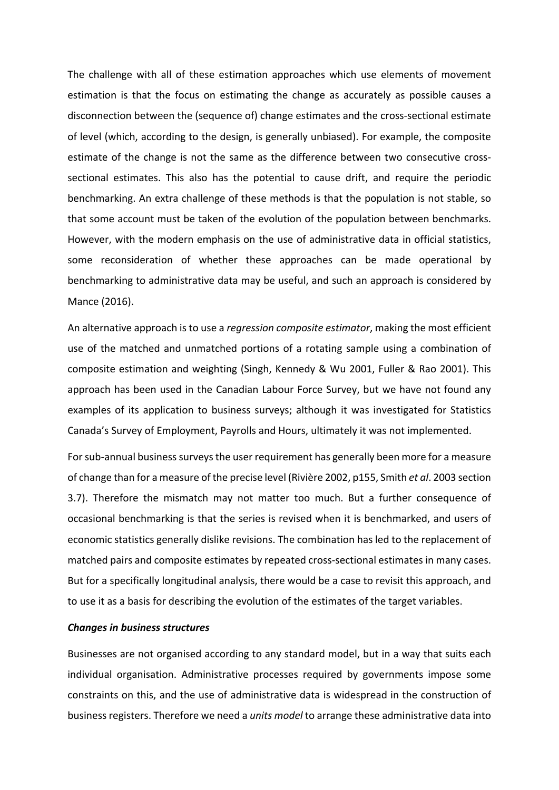The challenge with all of these estimation approaches which use elements of movement estimation is that the focus on estimating the change as accurately as possible causes a disconnection between the (sequence of) change estimates and the cross‐sectional estimate of level (which, according to the design, is generally unbiased). For example, the composite estimate of the change is not the same as the difference between two consecutive crosssectional estimates. This also has the potential to cause drift, and require the periodic benchmarking. An extra challenge of these methods is that the population is not stable, so that some account must be taken of the evolution of the population between benchmarks. However, with the modern emphasis on the use of administrative data in official statistics, some reconsideration of whether these approaches can be made operational by benchmarking to administrative data may be useful, and such an approach is considered by Mance (2016).

An alternative approach is to use a *regression composite estimator*, making the most efficient use of the matched and unmatched portions of a rotating sample using a combination of composite estimation and weighting (Singh, Kennedy & Wu 2001, Fuller & Rao 2001). This approach has been used in the Canadian Labour Force Survey, but we have not found any examples of its application to business surveys; although it was investigated for Statistics Canada's Survey of Employment, Payrolls and Hours, ultimately it was not implemented.

For sub‐annual business surveys the user requirement has generally been more for a measure of change than for a measure of the precise level (Rivière 2002, p155, Smith *et al*. 2003 section 3.7). Therefore the mismatch may not matter too much. But a further consequence of occasional benchmarking is that the series is revised when it is benchmarked, and users of economic statistics generally dislike revisions. The combination has led to the replacement of matched pairs and composite estimates by repeated cross-sectional estimates in many cases. But for a specifically longitudinal analysis, there would be a case to revisit this approach, and to use it as a basis for describing the evolution of the estimates of the target variables.

## *Changes in business structures*

Businesses are not organised according to any standard model, but in a way that suits each individual organisation. Administrative processes required by governments impose some constraints on this, and the use of administrative data is widespread in the construction of business registers. Therefore we need a *units model* to arrange these administrative data into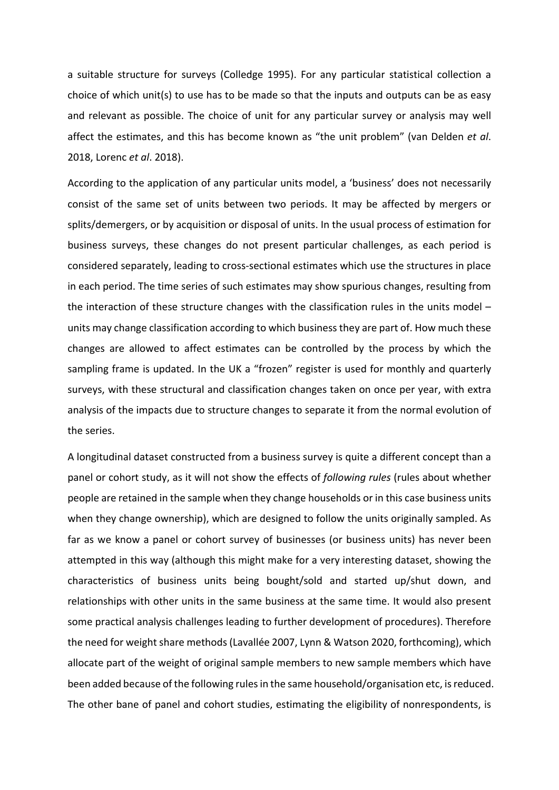a suitable structure for surveys (Colledge 1995). For any particular statistical collection a choice of which unit(s) to use has to be made so that the inputs and outputs can be as easy and relevant as possible. The choice of unit for any particular survey or analysis may well affect the estimates, and this has become known as "the unit problem" (van Delden *et al*. 2018, Lorenc *et al*. 2018).

According to the application of any particular units model, a 'business' does not necessarily consist of the same set of units between two periods. It may be affected by mergers or splits/demergers, or by acquisition or disposal of units. In the usual process of estimation for business surveys, these changes do not present particular challenges, as each period is considered separately, leading to cross‐sectional estimates which use the structures in place in each period. The time series of such estimates may show spurious changes, resulting from the interaction of these structure changes with the classification rules in the units model  $$ units may change classification according to which business they are part of. How much these changes are allowed to affect estimates can be controlled by the process by which the sampling frame is updated. In the UK a "frozen" register is used for monthly and quarterly surveys, with these structural and classification changes taken on once per year, with extra analysis of the impacts due to structure changes to separate it from the normal evolution of the series.

A longitudinal dataset constructed from a business survey is quite a different concept than a panel or cohort study, as it will not show the effects of *following rules* (rules about whether people are retained in the sample when they change households or in this case business units when they change ownership), which are designed to follow the units originally sampled. As far as we know a panel or cohort survey of businesses (or business units) has never been attempted in this way (although this might make for a very interesting dataset, showing the characteristics of business units being bought/sold and started up/shut down, and relationships with other units in the same business at the same time. It would also present some practical analysis challenges leading to further development of procedures). Therefore the need for weight share methods (Lavallée 2007, Lynn & Watson 2020, forthcoming), which allocate part of the weight of original sample members to new sample members which have been added because of the following rules in the same household/organisation etc, is reduced. The other bane of panel and cohort studies, estimating the eligibility of nonrespondents, is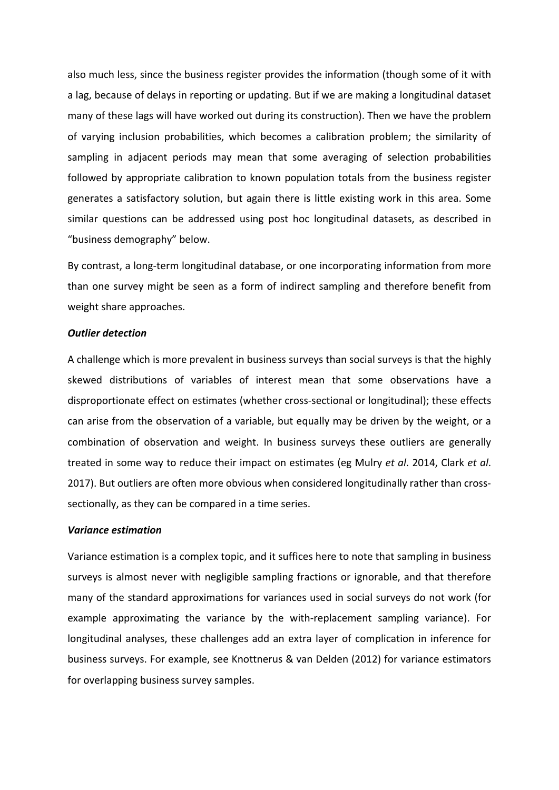also much less, since the business register provides the information (though some of it with a lag, because of delays in reporting or updating. But if we are making a longitudinal dataset many of these lags will have worked out during its construction). Then we have the problem of varying inclusion probabilities, which becomes a calibration problem; the similarity of sampling in adjacent periods may mean that some averaging of selection probabilities followed by appropriate calibration to known population totals from the business register generates a satisfactory solution, but again there is little existing work in this area. Some similar questions can be addressed using post hoc longitudinal datasets, as described in "business demography" below.

By contrast, a long‐term longitudinal database, or one incorporating information from more than one survey might be seen as a form of indirect sampling and therefore benefit from weight share approaches.

## *Outlier detection*

A challenge which is more prevalent in business surveys than social surveys is that the highly skewed distributions of variables of interest mean that some observations have a disproportionate effect on estimates (whether cross‐sectional or longitudinal); these effects can arise from the observation of a variable, but equally may be driven by the weight, or a combination of observation and weight. In business surveys these outliers are generally treated in some way to reduce their impact on estimates (eg Mulry *et al*. 2014, Clark *et al*. 2017). But outliers are often more obvious when considered longitudinally rather than crosssectionally, as they can be compared in a time series.

## *Variance estimation*

Variance estimation is a complex topic, and it suffices here to note that sampling in business surveys is almost never with negligible sampling fractions or ignorable, and that therefore many of the standard approximations for variances used in social surveys do not work (for example approximating the variance by the with-replacement sampling variance). For longitudinal analyses, these challenges add an extra layer of complication in inference for business surveys. For example, see Knottnerus & van Delden (2012) for variance estimators for overlapping business survey samples.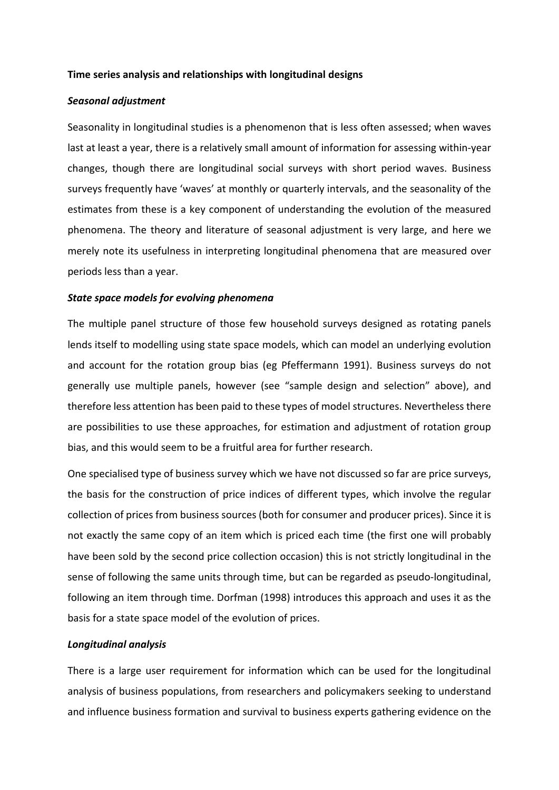# **Time series analysis and relationships with longitudinal designs**

# *Seasonal adjustment*

Seasonality in longitudinal studies is a phenomenon that is less often assessed; when waves last at least a year, there is a relatively small amount of information for assessing within‐year changes, though there are longitudinal social surveys with short period waves. Business surveys frequently have 'waves' at monthly or quarterly intervals, and the seasonality of the estimates from these is a key component of understanding the evolution of the measured phenomena. The theory and literature of seasonal adjustment is very large, and here we merely note its usefulness in interpreting longitudinal phenomena that are measured over periods less than a year.

# *State space models for evolving phenomena*

The multiple panel structure of those few household surveys designed as rotating panels lends itself to modelling using state space models, which can model an underlying evolution and account for the rotation group bias (eg Pfeffermann 1991). Business surveys do not generally use multiple panels, however (see "sample design and selection" above), and therefore less attention has been paid to these types of model structures. Nevertheless there are possibilities to use these approaches, for estimation and adjustment of rotation group bias, and this would seem to be a fruitful area for further research.

One specialised type of business survey which we have not discussed so far are price surveys, the basis for the construction of price indices of different types, which involve the regular collection of prices from business sources (both for consumer and producer prices). Since it is not exactly the same copy of an item which is priced each time (the first one will probably have been sold by the second price collection occasion) this is not strictly longitudinal in the sense of following the same units through time, but can be regarded as pseudo‐longitudinal, following an item through time. Dorfman (1998) introduces this approach and uses it as the basis for a state space model of the evolution of prices.

## *Longitudinal analysis*

There is a large user requirement for information which can be used for the longitudinal analysis of business populations, from researchers and policymakers seeking to understand and influence business formation and survival to business experts gathering evidence on the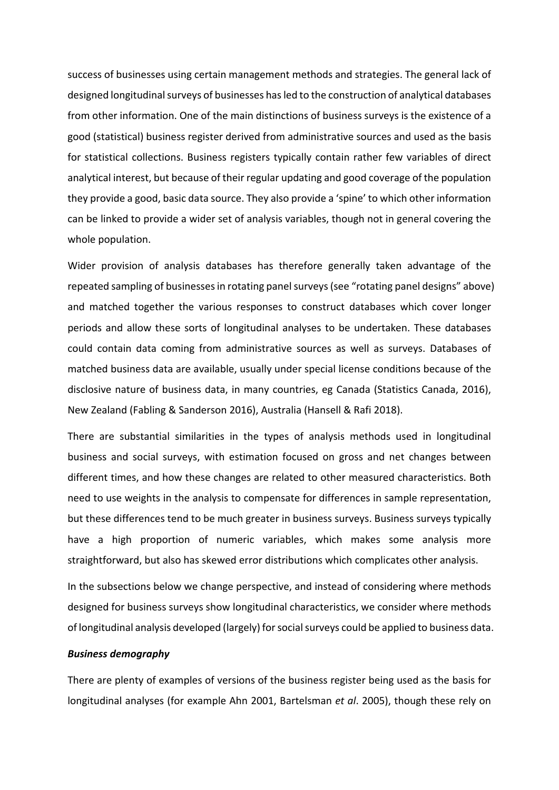success of businesses using certain management methods and strategies. The general lack of designed longitudinal surveys of businesses has led to the construction of analytical databases from other information. One of the main distinctions of business surveys is the existence of a good (statistical) business register derived from administrative sources and used as the basis for statistical collections. Business registers typically contain rather few variables of direct analytical interest, but because of their regular updating and good coverage of the population they provide a good, basic data source. They also provide a 'spine' to which other information can be linked to provide a wider set of analysis variables, though not in general covering the whole population.

Wider provision of analysis databases has therefore generally taken advantage of the repeated sampling of businesses in rotating panel surveys (see "rotating panel designs" above) and matched together the various responses to construct databases which cover longer periods and allow these sorts of longitudinal analyses to be undertaken. These databases could contain data coming from administrative sources as well as surveys. Databases of matched business data are available, usually under special license conditions because of the disclosive nature of business data, in many countries, eg Canada (Statistics Canada, 2016), New Zealand (Fabling & Sanderson 2016), Australia (Hansell & Rafi 2018).

There are substantial similarities in the types of analysis methods used in longitudinal business and social surveys, with estimation focused on gross and net changes between different times, and how these changes are related to other measured characteristics. Both need to use weights in the analysis to compensate for differences in sample representation, but these differences tend to be much greater in business surveys. Business surveys typically have a high proportion of numeric variables, which makes some analysis more straightforward, but also has skewed error distributions which complicates other analysis.

In the subsections below we change perspective, and instead of considering where methods designed for business surveys show longitudinal characteristics, we consider where methods of longitudinal analysis developed (largely) for social surveys could be applied to business data.

# *Business demography*

There are plenty of examples of versions of the business register being used as the basis for longitudinal analyses (for example Ahn 2001, Bartelsman *et al*. 2005), though these rely on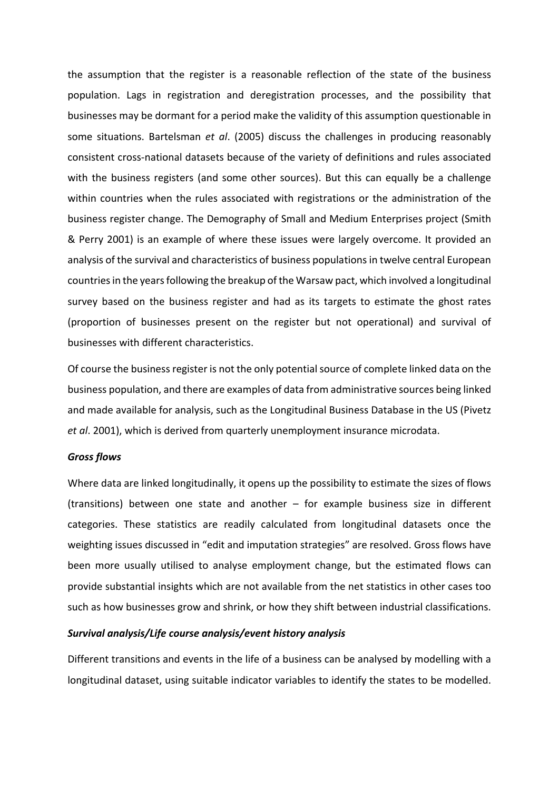the assumption that the register is a reasonable reflection of the state of the business population. Lags in registration and deregistration processes, and the possibility that businesses may be dormant for a period make the validity of this assumption questionable in some situations. Bartelsman *et al*. (2005) discuss the challenges in producing reasonably consistent cross‐national datasets because of the variety of definitions and rules associated with the business registers (and some other sources). But this can equally be a challenge within countries when the rules associated with registrations or the administration of the business register change. The Demography of Small and Medium Enterprises project (Smith & Perry 2001) is an example of where these issues were largely overcome. It provided an analysis of the survival and characteristics of business populations in twelve central European countries in the years following the breakup of the Warsaw pact, which involved a longitudinal survey based on the business register and had as its targets to estimate the ghost rates (proportion of businesses present on the register but not operational) and survival of businesses with different characteristics.

Of course the business register is not the only potential source of complete linked data on the business population, and there are examples of data from administrative sources being linked and made available for analysis, such as the Longitudinal Business Database in the US (Pivetz *et al*. 2001), which is derived from quarterly unemployment insurance microdata.

## *Gross flows*

Where data are linked longitudinally, it opens up the possibility to estimate the sizes of flows (transitions) between one state and another  $-$  for example business size in different categories. These statistics are readily calculated from longitudinal datasets once the weighting issues discussed in "edit and imputation strategies" are resolved. Gross flows have been more usually utilised to analyse employment change, but the estimated flows can provide substantial insights which are not available from the net statistics in other cases too such as how businesses grow and shrink, or how they shift between industrial classifications.

## *Survival analysis/Life course analysis/event history analysis*

Different transitions and events in the life of a business can be analysed by modelling with a longitudinal dataset, using suitable indicator variables to identify the states to be modelled.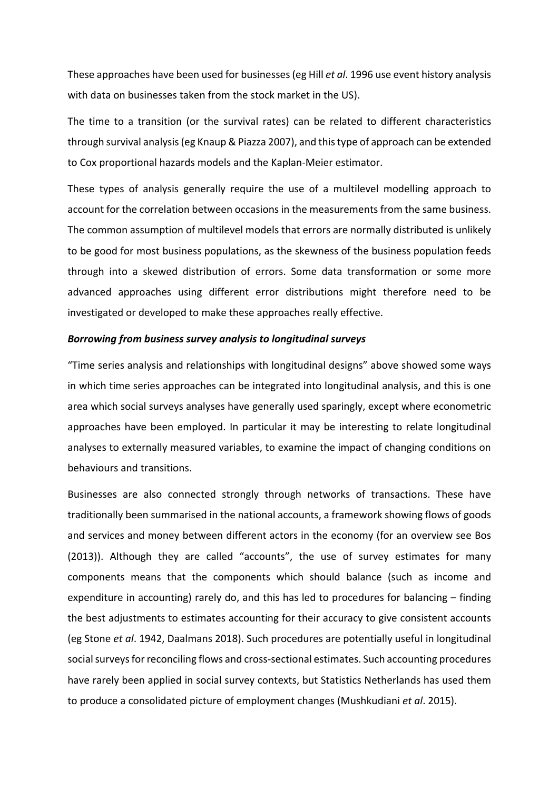These approaches have been used for businesses (eg Hill *et al*. 1996 use event history analysis with data on businesses taken from the stock market in the US).

The time to a transition (or the survival rates) can be related to different characteristics through survival analysis (eg Knaup & Piazza 2007), and this type of approach can be extended to Cox proportional hazards models and the Kaplan‐Meier estimator.

These types of analysis generally require the use of a multilevel modelling approach to account for the correlation between occasions in the measurements from the same business. The common assumption of multilevel models that errors are normally distributed is unlikely to be good for most business populations, as the skewness of the business population feeds through into a skewed distribution of errors. Some data transformation or some more advanced approaches using different error distributions might therefore need to be investigated or developed to make these approaches really effective.

## *Borrowing from business survey analysis to longitudinal surveys*

"Time series analysis and relationships with longitudinal designs" above showed some ways in which time series approaches can be integrated into longitudinal analysis, and this is one area which social surveys analyses have generally used sparingly, except where econometric approaches have been employed. In particular it may be interesting to relate longitudinal analyses to externally measured variables, to examine the impact of changing conditions on behaviours and transitions.

Businesses are also connected strongly through networks of transactions. These have traditionally been summarised in the national accounts, a framework showing flows of goods and services and money between different actors in the economy (for an overview see Bos (2013)). Although they are called "accounts", the use of survey estimates for many components means that the components which should balance (such as income and expenditure in accounting) rarely do, and this has led to procedures for balancing – finding the best adjustments to estimates accounting for their accuracy to give consistent accounts (eg Stone *et al*. 1942, Daalmans 2018). Such procedures are potentially useful in longitudinal social surveys for reconciling flows and cross‐sectional estimates. Such accounting procedures have rarely been applied in social survey contexts, but Statistics Netherlands has used them to produce a consolidated picture of employment changes (Mushkudiani *et al*. 2015).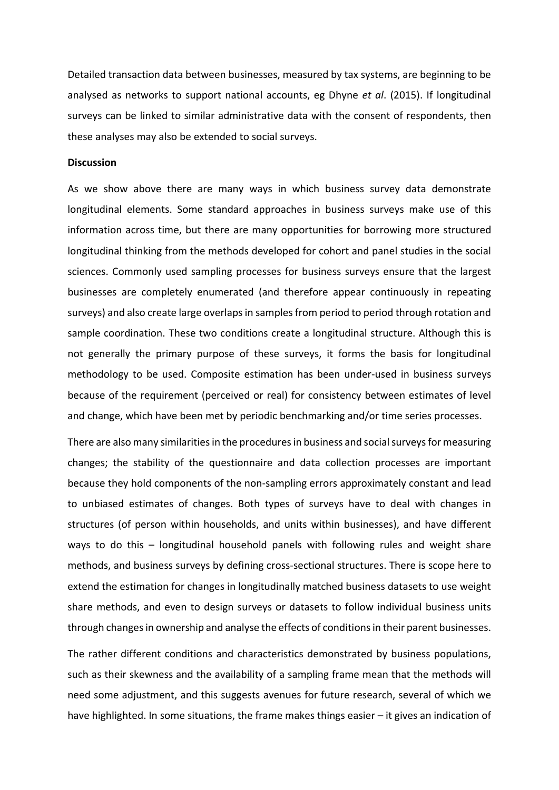Detailed transaction data between businesses, measured by tax systems, are beginning to be analysed as networks to support national accounts, eg Dhyne *et al*. (2015). If longitudinal surveys can be linked to similar administrative data with the consent of respondents, then these analyses may also be extended to social surveys.

## **Discussion**

As we show above there are many ways in which business survey data demonstrate longitudinal elements. Some standard approaches in business surveys make use of this information across time, but there are many opportunities for borrowing more structured longitudinal thinking from the methods developed for cohort and panel studies in the social sciences. Commonly used sampling processes for business surveys ensure that the largest businesses are completely enumerated (and therefore appear continuously in repeating surveys) and also create large overlaps in samples from period to period through rotation and sample coordination. These two conditions create a longitudinal structure. Although this is not generally the primary purpose of these surveys, it forms the basis for longitudinal methodology to be used. Composite estimation has been under‐used in business surveys because of the requirement (perceived or real) for consistency between estimates of level and change, which have been met by periodic benchmarking and/or time series processes.

There are also many similarities in the procedures in business and social surveys for measuring changes; the stability of the questionnaire and data collection processes are important because they hold components of the non‐sampling errors approximately constant and lead to unbiased estimates of changes. Both types of surveys have to deal with changes in structures (of person within households, and units within businesses), and have different ways to do this – longitudinal household panels with following rules and weight share methods, and business surveys by defining cross-sectional structures. There is scope here to extend the estimation for changes in longitudinally matched business datasets to use weight share methods, and even to design surveys or datasets to follow individual business units through changes in ownership and analyse the effects of conditions in their parent businesses.

The rather different conditions and characteristics demonstrated by business populations, such as their skewness and the availability of a sampling frame mean that the methods will need some adjustment, and this suggests avenues for future research, several of which we have highlighted. In some situations, the frame makes things easier – it gives an indication of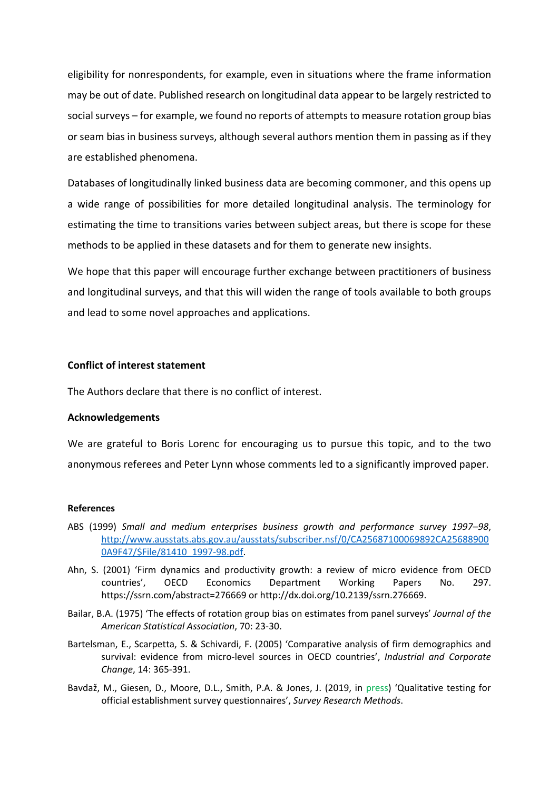eligibility for nonrespondents, for example, even in situations where the frame information may be out of date. Published research on longitudinal data appear to be largely restricted to social surveys – for example, we found no reports of attempts to measure rotation group bias or seam bias in business surveys, although several authors mention them in passing as if they are established phenomena.

Databases of longitudinally linked business data are becoming commoner, and this opens up a wide range of possibilities for more detailed longitudinal analysis. The terminology for estimating the time to transitions varies between subject areas, but there is scope for these methods to be applied in these datasets and for them to generate new insights.

We hope that this paper will encourage further exchange between practitioners of business and longitudinal surveys, and that this will widen the range of tools available to both groups and lead to some novel approaches and applications.

# **Conflict of interest statement**

The Authors declare that there is no conflict of interest.

## **Acknowledgements**

We are grateful to Boris Lorenc for encouraging us to pursue this topic, and to the two anonymous referees and Peter Lynn whose comments led to a significantly improved paper.

#### **References**

- ABS (1999) *Small and medium enterprises business growth and performance survey 1997–98*, http://www.ausstats.abs.gov.au/ausstats/subscriber.nsf/0/CA25687100069892CA25688900 0A9F47/\$File/81410\_1997‐98.pdf.
- Ahn, S. (2001) 'Firm dynamics and productivity growth: a review of micro evidence from OECD countries', OECD Economics Department Working Papers No. 297. https://ssrn.com/abstract=276669 or http://dx.doi.org/10.2139/ssrn.276669.
- Bailar, B.A. (1975) 'The effects of rotation group bias on estimates from panel surveys' *Journal of the American Statistical Association*, 70: 23‐30.
- Bartelsman, E., Scarpetta, S. & Schivardi, F. (2005) 'Comparative analysis of firm demographics and survival: evidence from micro‐level sources in OECD countries', *Industrial and Corporate Change*, 14: 365‐391.
- Bavdaž, M., Giesen, D., Moore, D.L., Smith, P.A. & Jones, J. (2019, in press) 'Qualitative testing for official establishment survey questionnaires', *Survey Research Methods*.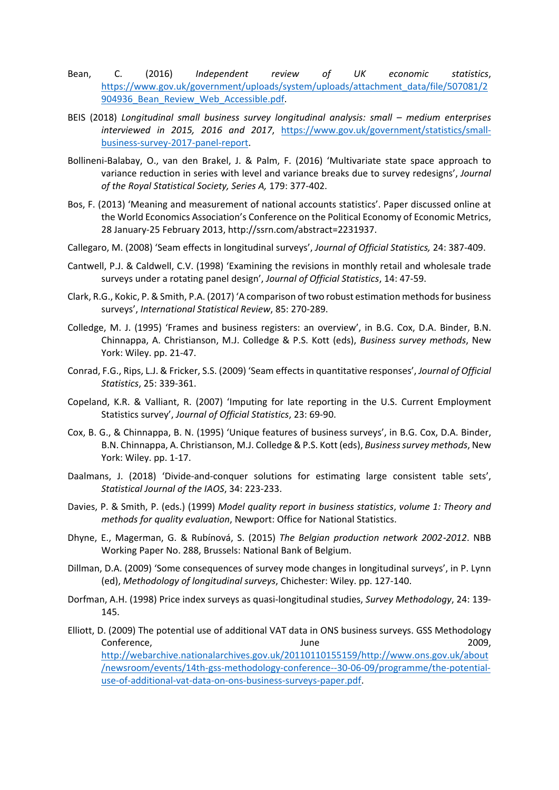- Bean, C. (2016) *Independent review of UK economic statistics*, https://www.gov.uk/government/uploads/system/uploads/attachment\_data/file/507081/2 904936 Bean Review Web Accessible.pdf.
- BEIS (2018) *Longitudinal small business survey longitudinal analysis: small medium enterprises interviewed in 2015, 2016 and 2017*, https://www.gov.uk/government/statistics/small‐ business‐survey‐2017‐panel‐report.
- Bollineni-Balabay, O., van den Brakel, J. & Palm, F. (2016) 'Multivariate state space approach to variance reduction in series with level and variance breaks due to survey redesigns', *Journal of the Royal Statistical Society, Series A,* 179: 377‐402.
- Bos, F. (2013) 'Meaning and measurement of national accounts statistics'. Paper discussed online at the World Economics Association's Conference on the Political Economy of Economic Metrics, 28 January‐25 February 2013, http://ssrn.com/abstract=2231937.
- Callegaro, M. (2008) 'Seam effects in longitudinal surveys', *Journal of Official Statistics,* 24: 387‐409.
- Cantwell, P.J. & Caldwell, C.V. (1998) 'Examining the revisions in monthly retail and wholesale trade surveys under a rotating panel design', *Journal of Official Statistics*, 14: 47‐59.
- Clark, R.G., Kokic, P. & Smith, P.A. (2017) 'A comparison of two robust estimation methods for business surveys', *International Statistical Review*, 85: 270‐289.
- Colledge, M. J. (1995) 'Frames and business registers: an overview', in B.G. Cox, D.A. Binder, B.N. Chinnappa, A. Christianson, M.J. Colledge & P.S. Kott (eds), *Business survey methods*, New York: Wiley. pp. 21‐47.
- Conrad, F.G., Rips, L.J. & Fricker, S.S. (2009) 'Seam effects in quantitative responses', *Journal of Official Statistics*, 25: 339‐361.
- Copeland, K.R. & Valliant, R. (2007) 'Imputing for late reporting in the U.S. Current Employment Statistics survey', *Journal of Official Statistics*, 23: 69‐90.
- Cox, B. G., & Chinnappa, B. N. (1995) 'Unique features of business surveys', in B.G. Cox, D.A. Binder, B.N. Chinnappa, A. Christianson, M.J. Colledge & P.S. Kott (eds), *Business survey methods*, New York: Wiley. pp. 1‐17.
- Daalmans, J. (2018) 'Divide-and-conquer solutions for estimating large consistent table sets', *Statistical Journal of the IAOS*, 34: 223‐233.
- Davies, P. & Smith, P. (eds.) (1999) *Model quality report in business statistics*, *volume 1: Theory and methods for quality evaluation*, Newport: Office for National Statistics.
- Dhyne, E., Magerman, G. & Rubínová, S. (2015) *The Belgian production network 2002*‐*2012*. NBB Working Paper No. 288, Brussels: National Bank of Belgium.
- Dillman, D.A. (2009) 'Some consequences of survey mode changes in longitudinal surveys', in P. Lynn (ed), *Methodology of longitudinal surveys*, Chichester: Wiley. pp. 127‐140.
- Dorfman, A.H. (1998) Price index surveys as quasi‐longitudinal studies, *Survey Methodology*, 24: 139‐ 145.
- Elliott, D. (2009) The potential use of additional VAT data in ONS business surveys. GSS Methodology Conference, 2009, 2009, 2009, 2009, 2009, 2009, 2009, 2009, 2009, 2009, 2009, 2009, 2009, 2009, 2009, 2009, 200 http://webarchive.nationalarchives.gov.uk/20110110155159/http://www.ons.gov.uk/about /newsroom/events/14th‐gss‐methodology‐conference‐‐30‐06‐09/programme/the‐potential‐ use‐of‐additional‐vat‐data‐on‐ons‐business‐surveys‐paper.pdf.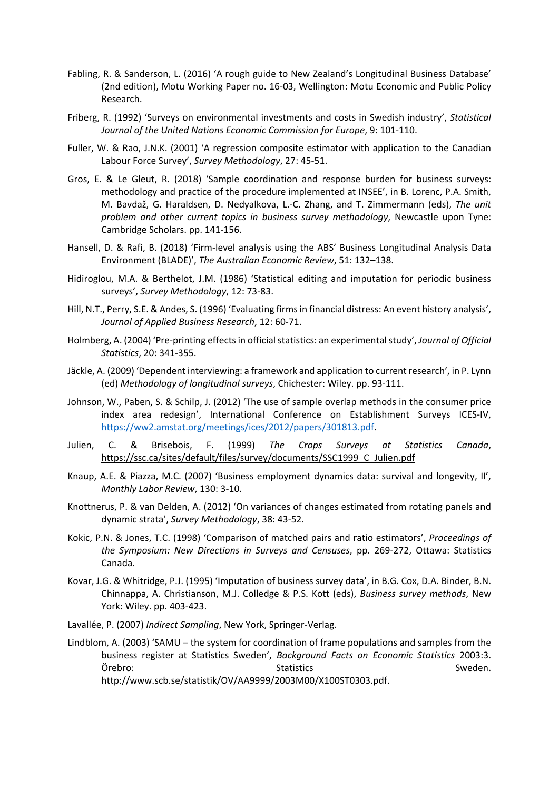- Fabling, R. & Sanderson, L. (2016) 'A rough guide to New Zealand's Longitudinal Business Database' (2nd edition), Motu Working Paper no. 16‐03, Wellington: Motu Economic and Public Policy Research.
- Friberg, R. (1992) 'Surveys on environmental investments and costs in Swedish industry', *Statistical Journal of the United Nations Economic Commission for Europe*, 9: 101‐110.
- Fuller, W. & Rao, J.N.K. (2001) 'A regression composite estimator with application to the Canadian Labour Force Survey', *Survey Methodology*, 27: 45‐51.
- Gros, E. & Le Gleut, R. (2018) 'Sample coordination and response burden for business surveys: methodology and practice of the procedure implemented at INSEE', in B. Lorenc, P.A. Smith, M. Bavdaž, G. Haraldsen, D. Nedyalkova, L.‐C. Zhang, and T. Zimmermann (eds), *The unit problem and other current topics in business survey methodology*, Newcastle upon Tyne: Cambridge Scholars. pp. 141‐156.
- Hansell, D. & Rafi, B. (2018) 'Firm-level analysis using the ABS' Business Longitudinal Analysis Data Environment (BLADE)', *The Australian Economic Review*, 51: 132–138.
- Hidiroglou, M.A. & Berthelot, J.M. (1986) 'Statistical editing and imputation for periodic business surveys', *Survey Methodology*, 12: 73‐83.
- Hill, N.T., Perry, S.E. & Andes, S. (1996) 'Evaluating firms in financial distress: An event history analysis', *Journal of Applied Business Research*, 12: 60‐71.
- Holmberg, A. (2004) 'Pre‐printing effects in official statistics: an experimental study', *Journal of Official Statistics*, 20: 341‐355.
- Jäckle, A. (2009) 'Dependent interviewing: a framework and application to current research', in P. Lynn (ed) *Methodology of longitudinal surveys*, Chichester: Wiley. pp. 93‐111.
- Johnson, W., Paben, S. & Schilp, J. (2012) 'The use of sample overlap methods in the consumer price index area redesign', International Conference on Establishment Surveys ICES‐IV, https://ww2.amstat.org/meetings/ices/2012/papers/301813.pdf.
- Julien, C. & Brisebois, F. (1999) *The Crops Surveys at Statistics Canada*, https://ssc.ca/sites/default/files/survey/documents/SSC1999\_C\_Julien.pdf
- Knaup, A.E. & Piazza, M.C. (2007) 'Business employment dynamics data: survival and longevity, II', *Monthly Labor Review*, 130: 3‐10.
- Knottnerus, P. & van Delden, A. (2012) 'On variances of changes estimated from rotating panels and dynamic strata', *Survey Methodology*, 38: 43‐52.
- Kokic, P.N. & Jones, T.C. (1998) 'Comparison of matched pairs and ratio estimators', *Proceedings of the Symposium: New Directions in Surveys and Censuses*, pp. 269‐272, Ottawa: Statistics Canada.
- Kovar, J.G. & Whitridge, P.J. (1995) 'Imputation of business survey data', in B.G. Cox, D.A. Binder, B.N. Chinnappa, A. Christianson, M.J. Colledge & P.S. Kott (eds), *Business survey methods*, New York: Wiley. pp. 403‐423.
- Lavallée, P. (2007) *Indirect Sampling*, New York, Springer‐Verlag.
- Lindblom, A. (2003) 'SAMU the system for coordination of frame populations and samples from the business register at Statistics Sweden', *Background Facts on Economic Statistics* 2003:3. Örebro: Summan Statistics Summan Statistics Sweden. http://www.scb.se/statistik/OV/AA9999/2003M00/X100ST0303.pdf.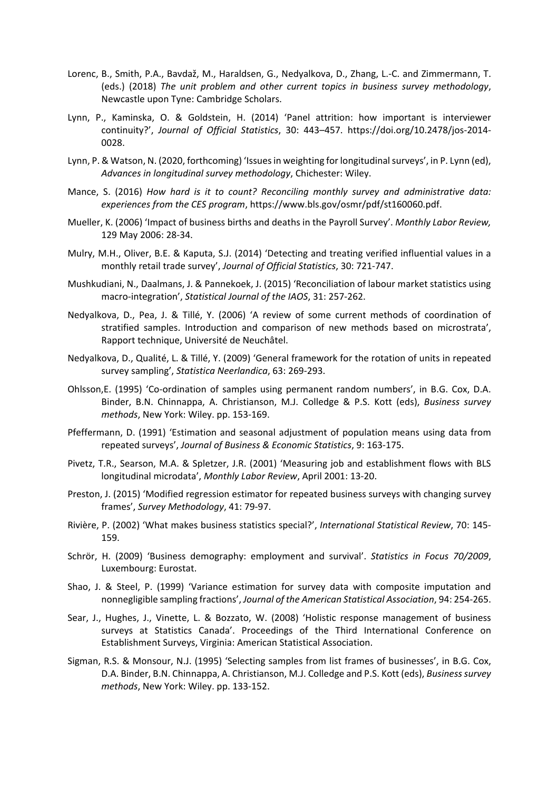- Lorenc, B., Smith, P.A., Bavdaž, M., Haraldsen, G., Nedyalkova, D., Zhang, L.‐C. and Zimmermann, T. (eds.) (2018) *The unit problem and other current topics in business survey methodology*, Newcastle upon Tyne: Cambridge Scholars.
- Lynn, P., Kaminska, O. & Goldstein, H. (2014) 'Panel attrition: how important is interviewer continuity?', *Journal of Official Statistics*, 30: 443–457. https://doi.org/10.2478/jos‐2014‐ 0028.
- Lynn, P. & Watson, N. (2020, forthcoming) 'Issues in weighting for longitudinal surveys', in P. Lynn (ed), *Advances in longitudinal survey methodology*, Chichester: Wiley.
- Mance, S. (2016) *How hard is it to count? Reconciling monthly survey and administrative data: experiences from the CES program*, https://www.bls.gov/osmr/pdf/st160060.pdf.
- Mueller, K. (2006) 'Impact of business births and deaths in the Payroll Survey'. *Monthly Labor Review,* 129 May 2006: 28‐34.
- Mulry, M.H., Oliver, B.E. & Kaputa, S.J. (2014) 'Detecting and treating verified influential values in a monthly retail trade survey', *Journal of Official Statistics*, 30: 721‐747.
- Mushkudiani, N., Daalmans, J. & Pannekoek, J. (2015) 'Reconciliation of labour market statistics using macro‐integration', *Statistical Journal of the IAOS*, 31: 257‐262.
- Nedyalkova, D., Pea, J. & Tillé, Y. (2006) 'A review of some current methods of coordination of stratified samples. Introduction and comparison of new methods based on microstrata', Rapport technique, Université de Neuchâtel.
- Nedyalkova, D., Qualité, L. & Tillé, Y. (2009) 'General framework for the rotation of units in repeated survey sampling', *Statistica Neerlandica*, 63: 269‐293.
- Ohlsson,E. (1995) 'Co‐ordination of samples using permanent random numbers', in B.G. Cox, D.A. Binder, B.N. Chinnappa, A. Christianson, M.J. Colledge & P.S. Kott (eds), *Business survey methods*, New York: Wiley. pp. 153‐169.
- Pfeffermann, D. (1991) 'Estimation and seasonal adjustment of population means using data from repeated surveys', *Journal of Business & Economic Statistics*, 9: 163‐175.
- Pivetz, T.R., Searson, M.A. & Spletzer, J.R. (2001) 'Measuring job and establishment flows with BLS longitudinal microdata', *Monthly Labor Review*, April 2001: 13‐20.
- Preston, J. (2015) 'Modified regression estimator for repeated business surveys with changing survey frames', *Survey Methodology*, 41: 79‐97.
- Rivière, P. (2002) 'What makes business statistics special?', *International Statistical Review*, 70: 145‐ 159.
- Schrör, H. (2009) 'Business demography: employment and survival'. *Statistics in Focus 70/2009*, Luxembourg: Eurostat.
- Shao, J. & Steel, P. (1999) 'Variance estimation for survey data with composite imputation and nonnegligible sampling fractions', *Journal of the American Statistical Association*, 94: 254‐265.
- Sear, J., Hughes, J., Vinette, L. & Bozzato, W. (2008) 'Holistic response management of business surveys at Statistics Canada'. Proceedings of the Third International Conference on Establishment Surveys, Virginia: American Statistical Association.
- Sigman, R.S. & Monsour, N.J. (1995) 'Selecting samples from list frames of businesses', in B.G. Cox, D.A. Binder, B.N. Chinnappa, A. Christianson, M.J. Colledge and P.S. Kott (eds), *Business survey methods*, New York: Wiley. pp. 133‐152.